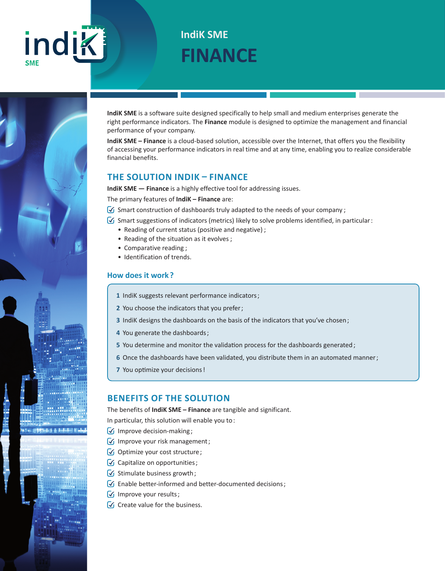# indik

# **FINANCE IndiK SME**

**IndiK SME** is a software suite designed specifically to help small and medium enterprises generate the right performance indicators. The **Finance** module is designed to optimize the management and financial performance of your company.

**IndiK SME – Finance** is a cloud-based solution, accessible over the Internet, that offers you the flexibility of accessing your performance indicators in real time and at any time, enabling you to realize considerable financial benefits.

### **THE SOLUTION INDIK – FINANCE**

**IndiK SME — Finance** is a highly effective tool for addressing issues.

The primary features of **IndiK – Finance** are:

 $\bigcirc$  Smart construction of dashboards truly adapted to the needs of your company;

 $\mathcal G$  Smart suggestions of indicators (metrics) likely to solve problems identified, in particular:

- Reading of current status (positive and negative) ;
- Reading of the situation as it evolves ;
- Comparative reading ;
- Identification of trends.

#### **How does it work ?**

- **1** IndiK suggests relevant performance indicators ;
- **2** You choose the indicators that you prefer ;
- **3** IndiK designs the dashboards on the basis of the indicators that you've chosen ;
- **4** You generate the dashboards ;
- **5** You determine and monitor the validation process for the dashboards generated;
- **6** Once the dashboards have been validated, you distribute them in an automated manner;
- **7** You optimize your decisions !

#### **BENEFITS OF THE SOLUTION**

The benefits of **IndiK SME – Finance** are tangible and significant.

In particular, this solution will enable you to :

- $\sqrt{\sqrt{1}}$  Improve decision-making;
- $\sqrt{ }$  Improve your risk management;
- $\bigcirc$  Optimize your cost structure;
- Capitalize on opportunities;
- $\sqrt{\sqrt{2}}$  Stimulate business growth;
- $\sqrt{\sqrt{2}}$  Enable better-informed and better-documented decisions;
- **Improve your results**;
- $\sqrt{\phantom{a}}$  Create value for the business.